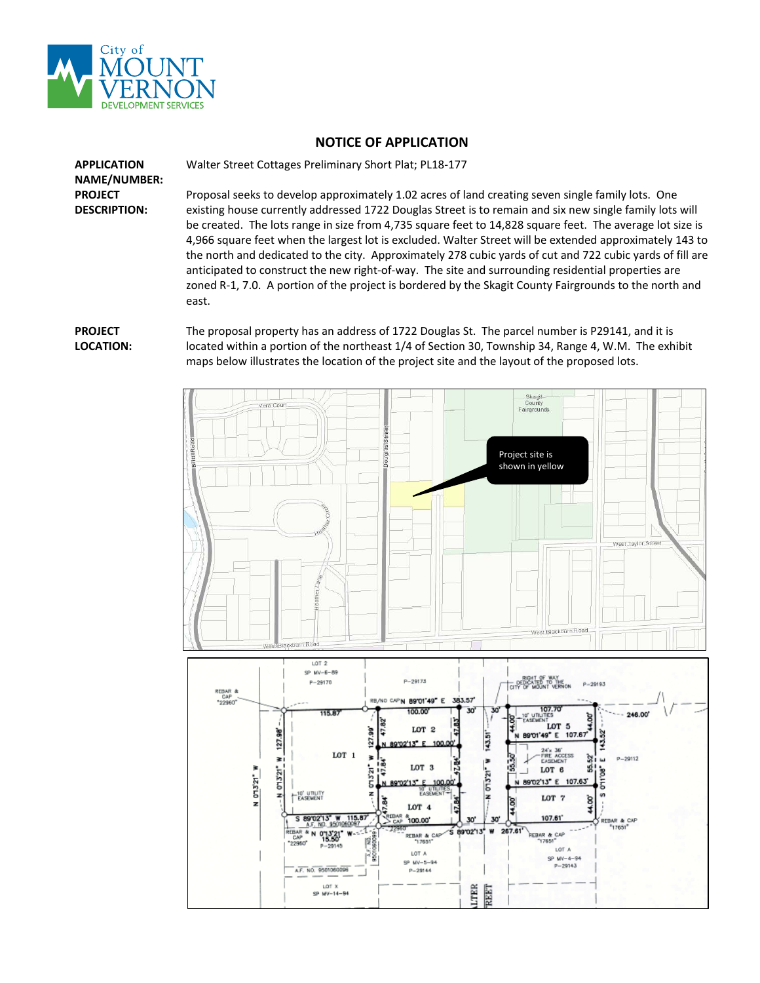

## **NOTICE OF APPLICATION**

Walter Street Cottages Preliminary Short Plat; PL18-177

**APPLICATION NAME/NUMBER: PROJECT DESCRIPTION:**

Proposal seeks to develop approximately 1.02 acres of land creating seven single family lots. One existing house currently addressed 1722 Douglas Street is to remain and six new single family lots will be created. The lots range in size from 4,735 square feet to 14,828 square feet. The average lot size is 4,966 square feet when the largest lot is excluded. Walter Street will be extended approximately 143 to the north and dedicated to the city. Approximately 278 cubic yards of cut and 722 cubic yards of fill are anticipated to construct the new right-of-way. The site and surrounding residential properties are zoned R-1, 7.0. A portion of the project is bordered by the Skagit County Fairgrounds to the north and east.

## **PROJECT LOCATION:**

The proposal property has an address of 1722 Douglas St. The parcel number is P29141, and it is located within a portion of the northeast 1/4 of Section 30, Township 34, Range 4, W.M. The exhibit maps below illustrates the location of the project site and the layout of the proposed lots.